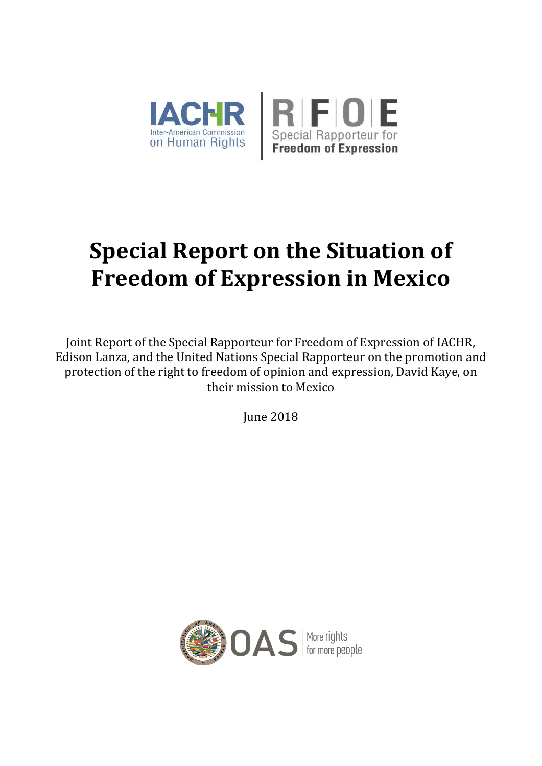

# **Special Report on the Situation of Freedom of Expression in Mexico**

Joint Report of the Special Rapporteur for Freedom of Expression of IACHR, Edison Lanza, and the United Nations Special Rapporteur on the promotion and protection of the right to freedom of opinion and expression, David Kaye, on their mission to Mexico

June 2018

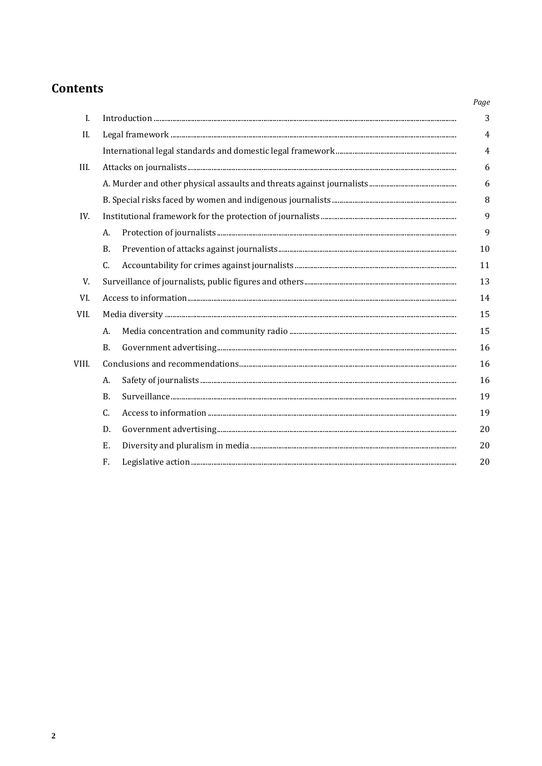# **Contents**

|       |           | Page           |
|-------|-----------|----------------|
| I.    |           | 3              |
| II.   |           | $\overline{4}$ |
|       |           | $\overline{4}$ |
| III.  |           | 6              |
|       |           | 6              |
|       |           | 8              |
| IV.   |           | 9              |
|       | A.        | 9              |
|       | <b>B.</b> | 10             |
|       | C.        | 11             |
| V.    |           | 13             |
| VI.   |           | 14             |
| VII.  |           | 15             |
|       | A.        | 15             |
|       | <b>B.</b> | 16             |
| VIII. |           | 16             |
|       | А.        | 16             |
|       | <b>B.</b> | 19             |
|       | C.        | 19             |
|       | D.        | 20             |
|       | Ε.        | 20             |
|       | F.        | 20             |
|       |           |                |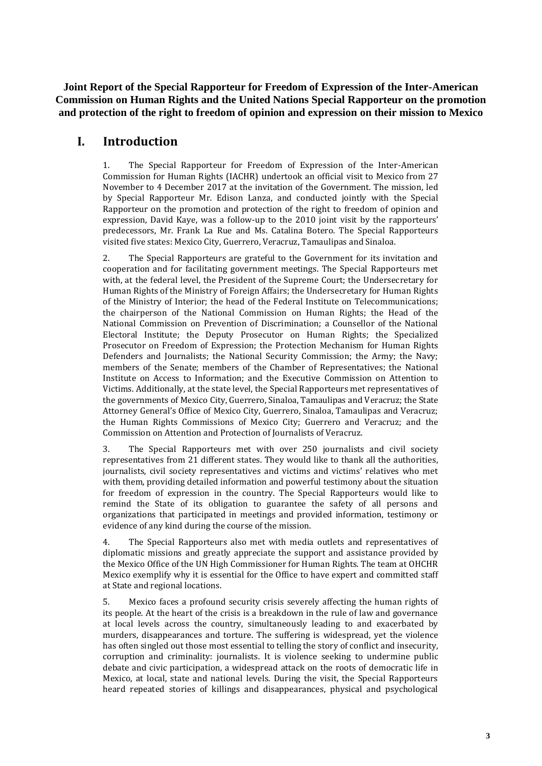**Joint Report of the Special Rapporteur for Freedom of Expression of the Inter-American Commission on Human Rights and the United Nations Special Rapporteur on the promotion and protection of the right to freedom of opinion and expression on their mission to Mexico**

# **I. Introduction**

1. The Special Rapporteur for Freedom of Expression of the Inter-American Commission for Human Rights (IACHR) undertook an official visit to Mexico from 27 November to 4 December 2017 at the invitation of the Government. The mission, led by Special Rapporteur Mr. Edison Lanza, and conducted jointly with the Special Rapporteur on the promotion and protection of the right to freedom of opinion and expression, David Kaye, was a follow-up to the 2010 joint visit by the rapporteurs' predecessors, Mr. Frank La Rue and Ms. Catalina Botero. The Special Rapporteurs visited five states: Mexico City, Guerrero, Veracruz, Tamaulipas and Sinaloa.

2. The Special Rapporteurs are grateful to the Government for its invitation and cooperation and for facilitating government meetings. The Special Rapporteurs met with, at the federal level, the President of the Supreme Court; the Undersecretary for Human Rights of the Ministry of Foreign Affairs; the Undersecretary for Human Rights of the Ministry of Interior; the head of the Federal Institute on Telecommunications; the chairperson of the National Commission on Human Rights; the Head of the National Commission on Prevention of Discrimination; a Counsellor of the National Electoral Institute; the Deputy Prosecutor on Human Rights; the Specialized Prosecutor on Freedom of Expression; the Protection Mechanism for Human Rights Defenders and Journalists; the National Security Commission; the Army; the Navy; members of the Senate; members of the Chamber of Representatives; the National Institute on Access to Information; and the Executive Commission on Attention to Victims. Additionally, at the state level, the Special Rapporteurs met representatives of the governments of Mexico City, Guerrero, Sinaloa, Tamaulipas and Veracruz; the State Attorney General's Office of Mexico City, Guerrero, Sinaloa, Tamaulipas and Veracruz; the Human Rights Commissions of Mexico City; Guerrero and Veracruz; and the Commission on Attention and Protection of Journalists of Veracruz.

3. The Special Rapporteurs met with over 250 journalists and civil society representatives from 21 different states. They would like to thank all the authorities, journalists, civil society representatives and victims and victims' relatives who met with them, providing detailed information and powerful testimony about the situation for freedom of expression in the country. The Special Rapporteurs would like to remind the State of its obligation to guarantee the safety of all persons and organizations that participated in meetings and provided information, testimony or evidence of any kind during the course of the mission.

4. The Special Rapporteurs also met with media outlets and representatives of diplomatic missions and greatly appreciate the support and assistance provided by the Mexico Office of the UN High Commissioner for Human Rights. The team at OHCHR Mexico exemplify why it is essential for the Office to have expert and committed staff at State and regional locations.

5. Mexico faces a profound security crisis severely affecting the human rights of its people. At the heart of the crisis is a breakdown in the rule of law and governance at local levels across the country, simultaneously leading to and exacerbated by murders, disappearances and torture. The suffering is widespread, yet the violence has often singled out those most essential to telling the story of conflict and insecurity, corruption and criminality: journalists. It is violence seeking to undermine public debate and civic participation, a widespread attack on the roots of democratic life in Mexico, at local, state and national levels. During the visit, the Special Rapporteurs heard repeated stories of killings and disappearances, physical and psychological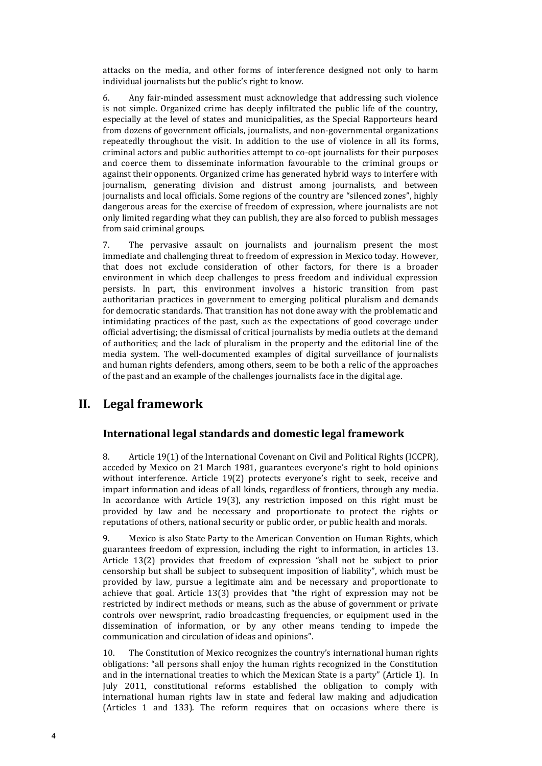attacks on the media, and other forms of interference designed not only to harm individual journalists but the public's right to know.

6. Any fair-minded assessment must acknowledge that addressing such violence is not simple. Organized crime has deeply infiltrated the public life of the country, especially at the level of states and municipalities, as the Special Rapporteurs heard from dozens of government officials, journalists, and non-governmental organizations repeatedly throughout the visit. In addition to the use of violence in all its forms, criminal actors and public authorities attempt to co-opt journalists for their purposes and coerce them to disseminate information favourable to the criminal groups or against their opponents. Organized crime has generated hybrid ways to interfere with journalism, generating division and distrust among journalists, and between journalists and local officials. Some regions of the country are "silenced zones", highly dangerous areas for the exercise of freedom of expression, where journalists are not only limited regarding what they can publish, they are also forced to publish messages from said criminal groups.

7. The pervasive assault on journalists and journalism present the most immediate and challenging threat to freedom of expression in Mexico today. However, that does not exclude consideration of other factors, for there is a broader environment in which deep challenges to press freedom and individual expression persists. In part, this environment involves a historic transition from past authoritarian practices in government to emerging political pluralism and demands for democratic standards. That transition has not done away with the problematic and intimidating practices of the past, such as the expectations of good coverage under official advertising; the dismissal of critical journalists by media outlets at the demand of authorities; and the lack of pluralism in the property and the editorial line of the media system. The well-documented examples of digital surveillance of journalists and human rights defenders, among others, seem to be both a relic of the approaches of the past and an example of the challenges journalists face in the digital age.

# **II. Legal framework**

### **International legal standards and domestic legal framework**

8. Article 19(1) of the International Covenant on Civil and Political Rights (ICCPR), acceded by Mexico on 21 March 1981, guarantees everyone's right to hold opinions without interference. Article 19(2) protects everyone's right to seek, receive and impart information and ideas of all kinds, regardless of frontiers, through any media. In accordance with Article 19(3), any restriction imposed on this right must be provided by law and be necessary and proportionate to protect the rights or reputations of others, national security or public order, or public health and morals.

9. Mexico is also State Party to the American Convention on Human Rights, which guarantees freedom of expression, including the right to information, in articles 13. Article 13(2) provides that freedom of expression "shall not be subject to prior censorship but shall be subject to subsequent imposition of liability", which must be provided by law, pursue a legitimate aim and be necessary and proportionate to achieve that goal. Article 13(3) provides that "the right of expression may not be restricted by indirect methods or means, such as the abuse of government or private controls over newsprint, radio broadcasting frequencies, or equipment used in the dissemination of information, or by any other means tending to impede the communication and circulation of ideas and opinions".

10. The Constitution of Mexico recognizes the country's international human rights obligations: "all persons shall enjoy the human rights recognized in the Constitution and in the international treaties to which the Mexican State is a party" (Article 1). In July 2011, constitutional reforms established the obligation to comply with international human rights law in state and federal law making and adjudication (Articles 1 and 133). The reform requires that on occasions where there is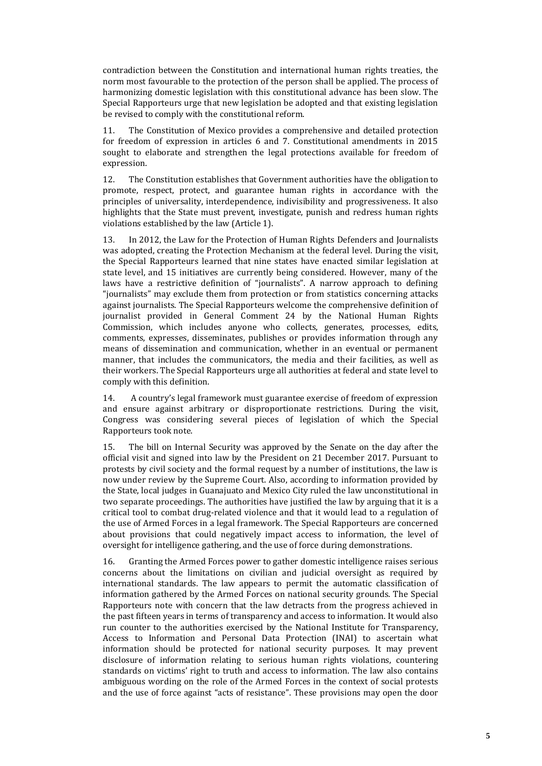contradiction between the Constitution and international human rights treaties, the norm most favourable to the protection of the person shall be applied. The process of harmonizing domestic legislation with this constitutional advance has been slow. The Special Rapporteurs urge that new legislation be adopted and that existing legislation be revised to comply with the constitutional reform.

11. The Constitution of Mexico provides a comprehensive and detailed protection for freedom of expression in articles 6 and 7. Constitutional amendments in 2015 sought to elaborate and strengthen the legal protections available for freedom of expression.

12. The Constitution establishes that Government authorities have the obligation to promote, respect, protect, and guarantee human rights in accordance with the principles of universality, interdependence, indivisibility and progressiveness. It also highlights that the State must prevent, investigate, punish and redress human rights violations established by the law (Article 1).

13. In 2012, the Law for the Protection of Human Rights Defenders and Journalists was adopted, creating the Protection Mechanism at the federal level. During the visit, the Special Rapporteurs learned that nine states have enacted similar legislation at state level, and 15 initiatives are currently being considered. However, many of the laws have a restrictive definition of "journalists". A narrow approach to defining "journalists" may exclude them from protection or from statistics concerning attacks against journalists. The Special Rapporteurs welcome the comprehensive definition of journalist provided in General Comment 24 by the National Human Rights Commission, which includes anyone who collects, generates, processes, edits, comments, expresses, disseminates, publishes or provides information through any means of dissemination and communication, whether in an eventual or permanent manner, that includes the communicators, the media and their facilities, as well as their workers. The Special Rapporteurs urge all authorities at federal and state level to comply with this definition.

14. A country's legal framework must guarantee exercise of freedom of expression and ensure against arbitrary or disproportionate restrictions. During the visit, Congress was considering several pieces of legislation of which the Special Rapporteurs took note.

15. The bill on Internal Security was approved by the Senate on the day after the official visit and signed into law by the President on 21 December 2017. Pursuant to protests by civil society and the formal request by a number of institutions, the law is now under review by the Supreme Court. Also, according to information provided by the State, local judges in Guanajuato and Mexico City ruled the law unconstitutional in two separate proceedings. The authorities have justified the law by arguing that it is a critical tool to combat drug-related violence and that it would lead to a regulation of the use of Armed Forces in a legal framework. The Special Rapporteurs are concerned about provisions that could negatively impact access to information, the level of oversight for intelligence gathering, and the use of force during demonstrations.

16. Granting the Armed Forces power to gather domestic intelligence raises serious concerns about the limitations on civilian and judicial oversight as required by international standards. The law appears to permit the automatic classification of information gathered by the Armed Forces on national security grounds. The Special Rapporteurs note with concern that the law detracts from the progress achieved in the past fifteen years in terms of transparency and access to information. It would also run counter to the authorities exercised by the National Institute for Transparency, Access to Information and Personal Data Protection (INAI) to ascertain what information should be protected for national security purposes. It may prevent disclosure of information relating to serious human rights violations, countering standards on victims' right to truth and access to information. The law also contains ambiguous wording on the role of the Armed Forces in the context of social protests and the use of force against "acts of resistance". These provisions may open the door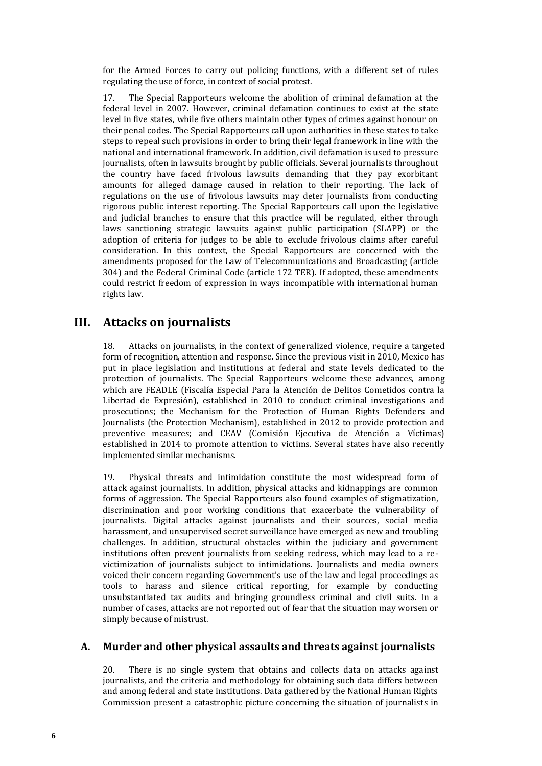for the Armed Forces to carry out policing functions, with a different set of rules regulating the use of force, in context of social protest.

17. The Special Rapporteurs welcome the abolition of criminal defamation at the federal level in 2007. However, criminal defamation continues to exist at the state level in five states, while five others maintain other types of crimes against honour on their penal codes. The Special Rapporteurs call upon authorities in these states to take steps to repeal such provisions in order to bring their legal framework in line with the national and international framework. In addition, civil defamation is used to pressure journalists, often in lawsuits brought by public officials. Several journalists throughout the country have faced frivolous lawsuits demanding that they pay exorbitant amounts for alleged damage caused in relation to their reporting. The lack of regulations on the use of frivolous lawsuits may deter journalists from conducting rigorous public interest reporting. The Special Rapporteurs call upon the legislative and judicial branches to ensure that this practice will be regulated, either through laws sanctioning strategic lawsuits against public participation (SLAPP) or the adoption of criteria for judges to be able to exclude frivolous claims after careful consideration. In this context, the Special Rapporteurs are concerned with the amendments proposed for the Law of Telecommunications and Broadcasting (article 304) and the Federal Criminal Code (article 172 TER). If adopted, these amendments could restrict freedom of expression in ways incompatible with international human rights law.

### **III. Attacks on journalists**

18. Attacks on journalists, in the context of generalized violence, require a targeted form of recognition, attention and response. Since the previous visit in 2010, Mexico has put in place legislation and institutions at federal and state levels dedicated to the protection of journalists. The Special Rapporteurs welcome these advances, among which are FEADLE (Fiscalía Especial Para la Atención de Delitos Cometidos contra la Libertad de Expresión), established in 2010 to conduct criminal investigations and prosecutions; the Mechanism for the Protection of Human Rights Defenders and Journalists (the Protection Mechanism), established in 2012 to provide protection and preventive measures; and CEAV (Comisión Ejecutiva de Atención a Víctimas) established in 2014 to promote attention to victims. Several states have also recently implemented similar mechanisms.

19. Physical threats and intimidation constitute the most widespread form of attack against journalists. In addition, physical attacks and kidnappings are common forms of aggression. The Special Rapporteurs also found examples of stigmatization, discrimination and poor working conditions that exacerbate the vulnerability of journalists. Digital attacks against journalists and their sources, social media harassment, and unsupervised secret surveillance have emerged as new and troubling challenges. In addition, structural obstacles within the judiciary and government institutions often prevent journalists from seeking redress, which may lead to a revictimization of journalists subject to intimidations. Journalists and media owners voiced their concern regarding Government's use of the law and legal proceedings as tools to harass and silence critical reporting, for example by conducting unsubstantiated tax audits and bringing groundless criminal and civil suits. In a number of cases, attacks are not reported out of fear that the situation may worsen or simply because of mistrust.

### **A. Murder and other physical assaults and threats against journalists**

20. There is no single system that obtains and collects data on attacks against journalists, and the criteria and methodology for obtaining such data differs between and among federal and state institutions. Data gathered by the National Human Rights Commission present a catastrophic picture concerning the situation of journalists in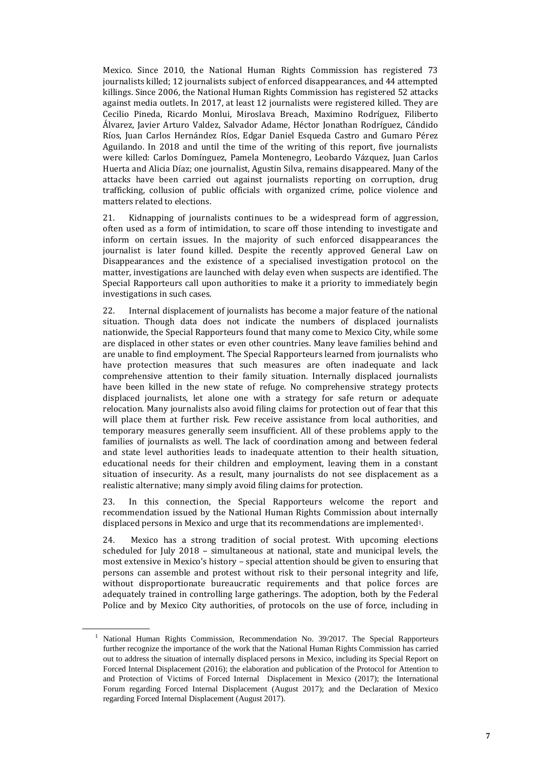Mexico. Since 2010, the National Human Rights Commission has registered 73 journalists killed; 12 journalists subject of enforced disappearances, and 44 attempted killings. Since 2006, the National Human Rights Commission has registered 52 attacks against media outlets. In 2017, at least 12 journalists were registered killed. They are Cecilio Pineda, Ricardo Monlui, Miroslava Breach, Maximino Rodríguez, Filiberto Álvarez, Javier Arturo Valdez, Salvador Adame, Héctor Jonathan Rodríguez, Cándido Ríos, Juan Carlos Hernández Ríos, Edgar Daniel Esqueda Castro and Gumaro Pérez Aguilando. In 2018 and until the time of the writing of this report, five journalists were killed: Carlos Domínguez, Pamela Montenegro, Leobardo Vázquez, Juan Carlos Huerta and Alicia Díaz; one journalist, Agustin Silva, remains disappeared. Many of the attacks have been carried out against journalists reporting on corruption, drug trafficking, collusion of public officials with organized crime, police violence and matters related to elections.

21. Kidnapping of journalists continues to be a widespread form of aggression, often used as a form of intimidation, to scare off those intending to investigate and inform on certain issues. In the majority of such enforced disappearances the journalist is later found killed. Despite the recently approved General Law on Disappearances and the existence of a specialised investigation protocol on the matter, investigations are launched with delay even when suspects are identified. The Special Rapporteurs call upon authorities to make it a priority to immediately begin investigations in such cases.

22. Internal displacement of journalists has become a major feature of the national situation. Though data does not indicate the numbers of displaced journalists nationwide, the Special Rapporteurs found that many come to Mexico City, while some are displaced in other states or even other countries. Many leave families behind and are unable to find employment. The Special Rapporteurs learned from journalists who have protection measures that such measures are often inadequate and lack comprehensive attention to their family situation. Internally displaced journalists have been killed in the new state of refuge. No comprehensive strategy protects displaced journalists, let alone one with a strategy for safe return or adequate relocation. Many journalists also avoid filing claims for protection out of fear that this will place them at further risk. Few receive assistance from local authorities, and temporary measures generally seem insufficient. All of these problems apply to the families of journalists as well. The lack of coordination among and between federal and state level authorities leads to inadequate attention to their health situation, educational needs for their children and employment, leaving them in a constant situation of insecurity. As a result, many journalists do not see displacement as a realistic alternative; many simply avoid filing claims for protection.

23. In this connection, the Special Rapporteurs welcome the report and recommendation issued by the National Human Rights Commission about internally displaced persons in Mexico and urge that its recommendations are implemented1.

24. Mexico has a strong tradition of social protest. With upcoming elections scheduled for July 2018 – simultaneous at national, state and municipal levels, the most extensive in Mexico's history – special attention should be given to ensuring that persons can assemble and protest without risk to their personal integrity and life, without disproportionate bureaucratic requirements and that police forces are adequately trained in controlling large gatherings. The adoption, both by the Federal Police and by Mexico City authorities, of protocols on the use of force, including in

<sup>1</sup> National Human Rights Commission, Recommendation No. 39/2017. The Special Rapporteurs further recognize the importance of the work that the National Human Rights Commission has carried out to address the situation of internally displaced persons in Mexico, including its Special Report on Forced Internal Displacement (2016); the elaboration and publication of the Protocol for Attention to and Protection of Victims of Forced Internal Displacement in Mexico (2017); the International Forum regarding Forced Internal Displacement (August 2017); and the Declaration of Mexico regarding Forced Internal Displacement (August 2017).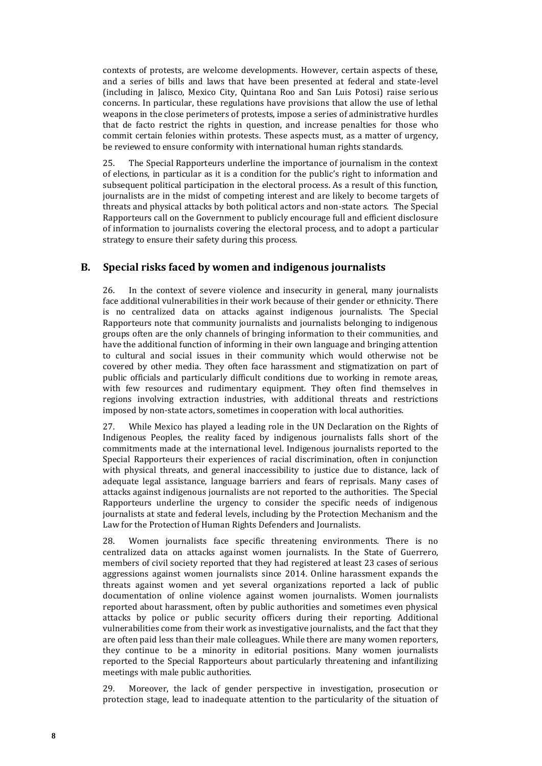contexts of protests, are welcome developments. However, certain aspects of these, and a series of bills and laws that have been presented at federal and state-level (including in Jalisco, Mexico City, Quintana Roo and San Luis Potosi) raise serious concerns. In particular, these regulations have provisions that allow the use of lethal weapons in the close perimeters of protests, impose a series of administrative hurdles that de facto restrict the rights in question, and increase penalties for those who commit certain felonies within protests. These aspects must, as a matter of urgency, be reviewed to ensure conformity with international human rights standards.

25. The Special Rapporteurs underline the importance of journalism in the context of elections, in particular as it is a condition for the public's right to information and subsequent political participation in the electoral process. As a result of this function, journalists are in the midst of competing interest and are likely to become targets of threats and physical attacks by both political actors and non-state actors. The Special Rapporteurs call on the Government to publicly encourage full and efficient disclosure of information to journalists covering the electoral process, and to adopt a particular strategy to ensure their safety during this process.

### **B. Special risks faced by women and indigenous journalists**

26. In the context of severe violence and insecurity in general, many journalists face additional vulnerabilities in their work because of their gender or ethnicity. There is no centralized data on attacks against indigenous journalists. The Special Rapporteurs note that community journalists and journalists belonging to indigenous groups often are the only channels of bringing information to their communities, and have the additional function of informing in their own language and bringing attention to cultural and social issues in their community which would otherwise not be covered by other media. They often face harassment and stigmatization on part of public officials and particularly difficult conditions due to working in remote areas, with few resources and rudimentary equipment. They often find themselves in regions involving extraction industries, with additional threats and restrictions imposed by non-state actors, sometimes in cooperation with local authorities.

27. While Mexico has played a leading role in the UN Declaration on the Rights of Indigenous Peoples, the reality faced by indigenous journalists falls short of the commitments made at the international level. Indigenous journalists reported to the Special Rapporteurs their experiences of racial discrimination, often in conjunction with physical threats, and general inaccessibility to justice due to distance, lack of adequate legal assistance, language barriers and fears of reprisals. Many cases of attacks against indigenous journalists are not reported to the authorities. The Special Rapporteurs underline the urgency to consider the specific needs of indigenous journalists at state and federal levels, including by the Protection Mechanism and the Law for the Protection of Human Rights Defenders and Journalists.

28. Women journalists face specific threatening environments. There is no centralized data on attacks against women journalists. In the State of Guerrero, members of civil society reported that they had registered at least 23 cases of serious aggressions against women journalists since 2014. Online harassment expands the threats against women and yet several organizations reported a lack of public documentation of online violence against women journalists. Women journalists reported about harassment, often by public authorities and sometimes even physical attacks by police or public security officers during their reporting. Additional vulnerabilities come from their work as investigative journalists, and the fact that they are often paid less than their male colleagues. While there are many women reporters, they continue to be a minority in editorial positions. Many women journalists reported to the Special Rapporteurs about particularly threatening and infantilizing meetings with male public authorities.

29. Moreover, the lack of gender perspective in investigation, prosecution or protection stage, lead to inadequate attention to the particularity of the situation of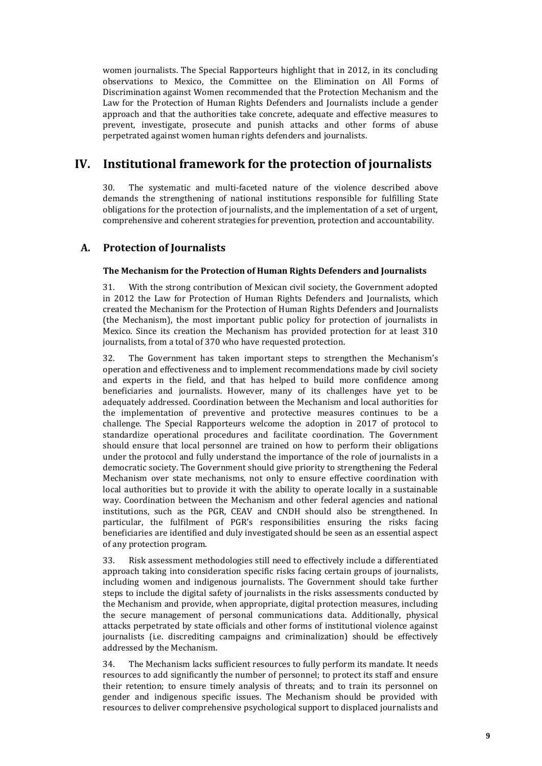women journalists. The Special Rapporteurs highlight that in 2012, in its concluding observations to Mexico, the Committee on the Elimination on All Forms of Discrimination against Women recommended that the Protection Mechanism and the Law for the Protection of Human Rights Defenders and Journalists include a gender approach and that the authorities take concrete, adequate and effective measures to prevent, investigate, prosecute and punish attacks and other forms of abuse perpetrated against women human rights defenders and journalists.

# **IV. Institutional framework for the protection of journalists**

30. The systematic and multi-faceted nature of the violence described above demands the strengthening of national institutions responsible for fulfilling State obligations for the protection of journalists, and the implementation of a set of urgent, comprehensive and coherent strategies for prevention, protection and accountability.

### **A. Protection of Journalists**

### **The Mechanism for the Protection of Human Rights Defenders and Journalists**

31. With the strong contribution of Mexican civil society, the Government adopted in 2012 the Law for Protection of Human Rights Defenders and Journalists, which created the Mechanism for the Protection of Human Rights Defenders and Journalists (the Mechanism), the most important public policy for protection of journalists in Mexico. Since its creation the Mechanism has provided protection for at least 310 journalists, from a total of 370 who have requested protection.

32. The Government has taken important steps to strengthen the Mechanism's operation and effectiveness and to implement recommendations made by civil society and experts in the field, and that has helped to build more confidence among beneficiaries and journalists. However, many of its challenges have yet to be adequately addressed. Coordination between the Mechanism and local authorities for the implementation of preventive and protective measures continues to be a challenge. The Special Rapporteurs welcome the adoption in 2017 of protocol to standardize operational procedures and facilitate coordination. The Government should ensure that local personnel are trained on how to perform their obligations under the protocol and fully understand the importance of the role of journalists in a democratic society. The Government should give priority to strengthening the Federal Mechanism over state mechanisms, not only to ensure effective coordination with local authorities but to provide it with the ability to operate locally in a sustainable way. Coordination between the Mechanism and other federal agencies and national institutions, such as the PGR, CEAV and CNDH should also be strengthened. In particular, the fulfilment of PGR's responsibilities ensuring the risks facing beneficiaries are identified and duly investigated should be seen as an essential aspect of any protection program.

33. Risk assessment methodologies still need to effectively include a differentiated approach taking into consideration specific risks facing certain groups of journalists, including women and indigenous journalists. The Government should take further steps to include the digital safety of journalists in the risks assessments conducted by the Mechanism and provide, when appropriate, digital protection measures, including the secure management of personal communications data. Additionally, physical attacks perpetrated by state officials and other forms of institutional violence against journalists (i.e. discrediting campaigns and criminalization) should be effectively addressed by the Mechanism.

34. The Mechanism lacks sufficient resources to fully perform its mandate. It needs resources to add significantly the number of personnel; to protect its staff and ensure their retention; to ensure timely analysis of threats; and to train its personnel on gender and indigenous specific issues. The Mechanism should be provided with resources to deliver comprehensive psychological support to displaced journalists and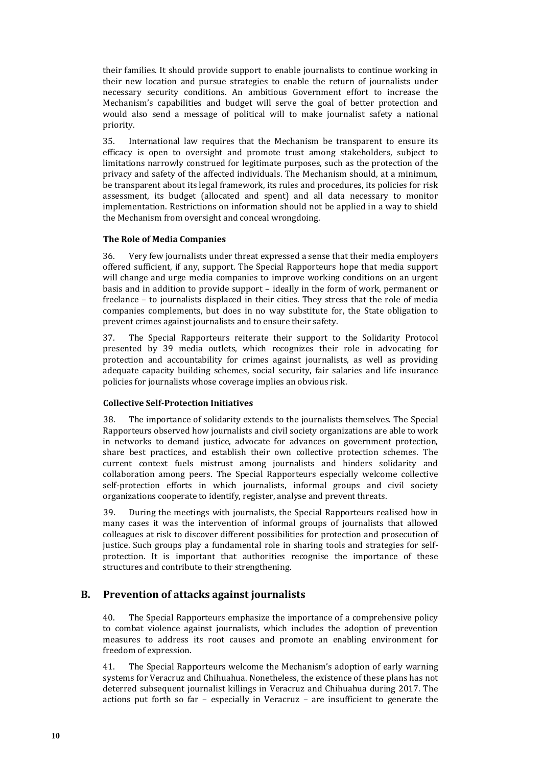their families. It should provide support to enable journalists to continue working in their new location and pursue strategies to enable the return of journalists under necessary security conditions. An ambitious Government effort to increase the Mechanism's capabilities and budget will serve the goal of better protection and would also send a message of political will to make journalist safety a national priority.

35. International law requires that the Mechanism be transparent to ensure its efficacy is open to oversight and promote trust among stakeholders, subject to limitations narrowly construed for legitimate purposes, such as the protection of the privacy and safety of the affected individuals. The Mechanism should, at a minimum, be transparent about its legal framework, its rules and procedures, its policies for risk assessment, its budget (allocated and spent) and all data necessary to monitor implementation. Restrictions on information should not be applied in a way to shield the Mechanism from oversight and conceal wrongdoing.

### **The Role of Media Companies**

36. Very few journalists under threat expressed a sense that their media employers offered sufficient, if any, support. The Special Rapporteurs hope that media support will change and urge media companies to improve working conditions on an urgent basis and in addition to provide support – ideally in the form of work, permanent or freelance – to journalists displaced in their cities. They stress that the role of media companies complements, but does in no way substitute for, the State obligation to prevent crimes against journalists and to ensure their safety.

37. The Special Rapporteurs reiterate their support to the Solidarity Protocol presented by 39 media outlets, which recognizes their role in advocating for protection and accountability for crimes against journalists, as well as providing adequate capacity building schemes, social security, fair salaries and life insurance policies for journalists whose coverage implies an obvious risk.

### **Collective Self-Protection Initiatives**

38. The importance of solidarity extends to the journalists themselves. The Special Rapporteurs observed how journalists and civil society organizations are able to work in networks to demand justice, advocate for advances on government protection, share best practices, and establish their own collective protection schemes. The current context fuels mistrust among journalists and hinders solidarity and collaboration among peers. The Special Rapporteurs especially welcome collective self-protection efforts in which journalists, informal groups and civil society organizations cooperate to identify, register, analyse and prevent threats.

39. During the meetings with journalists, the Special Rapporteurs realised how in many cases it was the intervention of informal groups of journalists that allowed colleagues at risk to discover different possibilities for protection and prosecution of justice. Such groups play a fundamental role in sharing tools and strategies for selfprotection. It is important that authorities recognise the importance of these structures and contribute to their strengthening.

### **B. Prevention of attacks against journalists**

40. The Special Rapporteurs emphasize the importance of a comprehensive policy to combat violence against journalists, which includes the adoption of prevention measures to address its root causes and promote an enabling environment for freedom of expression.

41. The Special Rapporteurs welcome the Mechanism's adoption of early warning systems for Veracruz and Chihuahua. Nonetheless, the existence of these plans has not deterred subsequent journalist killings in Veracruz and Chihuahua during 2017. The actions put forth so far – especially in Veracruz – are insufficient to generate the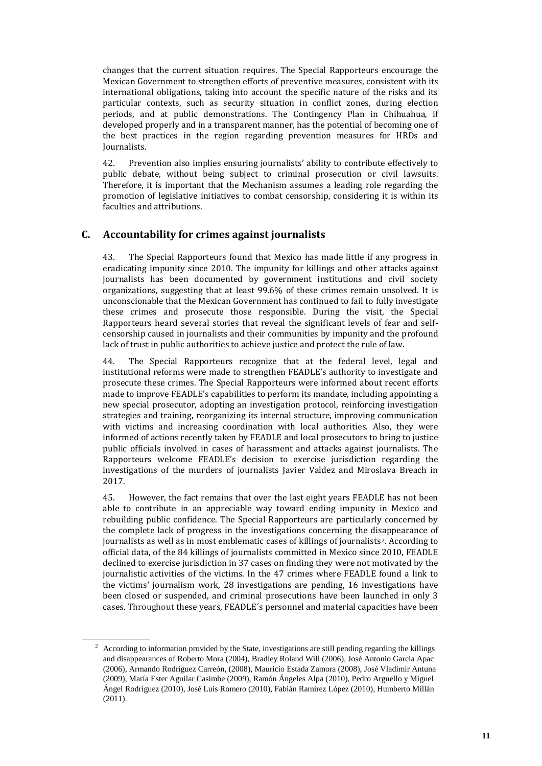changes that the current situation requires. The Special Rapporteurs encourage the Mexican Government to strengthen efforts of preventive measures, consistent with its international obligations, taking into account the specific nature of the risks and its particular contexts, such as security situation in conflict zones, during election periods, and at public demonstrations. The Contingency Plan in Chihuahua, if developed properly and in a transparent manner, has the potential of becoming one of the best practices in the region regarding prevention measures for HRDs and Journalists.

42. Prevention also implies ensuring journalists' ability to contribute effectively to public debate, without being subject to criminal prosecution or civil lawsuits. Therefore, it is important that the Mechanism assumes a leading role regarding the promotion of legislative initiatives to combat censorship, considering it is within its faculties and attributions.

### **C. Accountability for crimes against journalists**

43. The Special Rapporteurs found that Mexico has made little if any progress in eradicating impunity since 2010. The impunity for killings and other attacks against journalists has been documented by government institutions and civil society organizations, suggesting that at least 99.6% of these crimes remain unsolved. It is unconscionable that the Mexican Government has continued to fail to fully investigate these crimes and prosecute those responsible. During the visit, the Special Rapporteurs heard several stories that reveal the significant levels of fear and selfcensorship caused in journalists and their communities by impunity and the profound lack of trust in public authorities to achieve justice and protect the rule of law.

44. The Special Rapporteurs recognize that at the federal level, legal and institutional reforms were made to strengthen FEADLE's authority to investigate and prosecute these crimes. The Special Rapporteurs were informed about recent efforts made to improve FEADLE's capabilities to perform its mandate, including appointing a new special prosecutor, adopting an investigation protocol, reinforcing investigation strategies and training, reorganizing its internal structure, improving communication with victims and increasing coordination with local authorities. Also, they were informed of actions recently taken by FEADLE and local prosecutors to bring to justice public officials involved in cases of harassment and attacks against journalists. The Rapporteurs welcome FEADLE's decision to exercise jurisdiction regarding the investigations of the murders of journalists Javier Valdez and Miroslava Breach in 2017.

45. However, the fact remains that over the last eight years FEADLE has not been able to contribute in an appreciable way toward ending impunity in Mexico and rebuilding public confidence. The Special Rapporteurs are particularly concerned by the complete lack of progress in the investigations concerning the disappearance of journalists as well as in most emblematic cases of killings of journalists2. According to official data, of the 84 killings of journalists committed in Mexico since 2010, FEADLE declined to exercise jurisdiction in 37 cases on finding they were not motivated by the journalistic activities of the victims. In the 47 crimes where FEADLE found a link to the victims' journalism work, 28 investigations are pending, 16 investigations have been closed or suspended, and criminal prosecutions have been launched in only 3 cases. Throughout these years, FEADLE´s personnel and material capacities have been

<sup>&</sup>lt;sup>2</sup> According to information provided by the State, investigations are still pending regarding the killings and disappearances of Roberto Mora (2004), Bradley Roland Will (2006), José Antonio Garcia Apac (2006), Armando Rodriguez Carreón, (2008), Mauricio Estada Zamora (2008), José Vladimir Antuna (2009), María Ester Aguilar Casimbe (2009), Ramón Ángeles Alpa (2010), Pedro Arguello y Miguel Ángel Rodríguez (2010), José Luis Romero (2010), Fabián Ramírez López (2010), Humberto Millán (2011).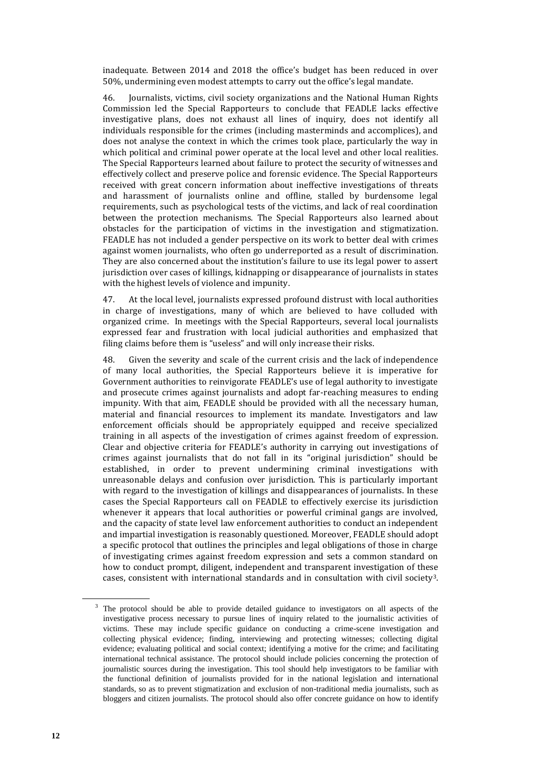inadequate. Between 2014 and 2018 the office's budget has been reduced in over 50%, undermining even modest attempts to carry out the office's legal mandate.

46. Journalists, victims, civil society organizations and the National Human Rights Commission led the Special Rapporteurs to conclude that FEADLE lacks effective investigative plans, does not exhaust all lines of inquiry, does not identify all individuals responsible for the crimes (including masterminds and accomplices), and does not analyse the context in which the crimes took place, particularly the way in which political and criminal power operate at the local level and other local realities. The Special Rapporteurs learned about failure to protect the security of witnesses and effectively collect and preserve police and forensic evidence. The Special Rapporteurs received with great concern information about ineffective investigations of threats and harassment of journalists online and offline, stalled by burdensome legal requirements, such as psychological tests of the victims, and lack of real coordination between the protection mechanisms. The Special Rapporteurs also learned about obstacles for the participation of victims in the investigation and stigmatization. FEADLE has not included a gender perspective on its work to better deal with crimes against women journalists, who often go underreported as a result of discrimination. They are also concerned about the institution's failure to use its legal power to assert jurisdiction over cases of killings, kidnapping or disappearance of journalists in states with the highest levels of violence and impunity.

47. At the local level, journalists expressed profound distrust with local authorities in charge of investigations, many of which are believed to have colluded with organized crime. In meetings with the Special Rapporteurs, several local journalists expressed fear and frustration with local judicial authorities and emphasized that filing claims before them is "useless" and will only increase their risks.

48. Given the severity and scale of the current crisis and the lack of independence of many local authorities, the Special Rapporteurs believe it is imperative for Government authorities to reinvigorate FEADLE's use of legal authority to investigate and prosecute crimes against journalists and adopt far-reaching measures to ending impunity. With that aim, FEADLE should be provided with all the necessary human, material and financial resources to implement its mandate. Investigators and law enforcement officials should be appropriately equipped and receive specialized training in all aspects of the investigation of crimes against freedom of expression. Clear and objective criteria for FEADLE's authority in carrying out investigations of crimes against journalists that do not fall in its "original jurisdiction" should be established, in order to prevent undermining criminal investigations with unreasonable delays and confusion over jurisdiction. This is particularly important with regard to the investigation of killings and disappearances of journalists. In these cases the Special Rapporteurs call on FEADLE to effectively exercise its jurisdiction whenever it appears that local authorities or powerful criminal gangs are involved, and the capacity of state level law enforcement authorities to conduct an independent and impartial investigation is reasonably questioned. Moreover, FEADLE should adopt a specific protocol that outlines the principles and legal obligations of those in charge of investigating crimes against freedom expression and sets a common standard on how to conduct prompt, diligent, independent and transparent investigation of these cases, consistent with international standards and in consultation with civil society3.

<sup>3</sup> The protocol should be able to provide detailed guidance to investigators on all aspects of the investigative process necessary to pursue lines of inquiry related to the journalistic activities of victims. These may include specific guidance on conducting a crime-scene investigation and collecting physical evidence; finding, interviewing and protecting witnesses; collecting digital evidence; evaluating political and social context; identifying a motive for the crime; and facilitating international technical assistance. The protocol should include policies concerning the protection of journalistic sources during the investigation. This tool should help investigators to be familiar with the functional definition of journalists provided for in the national legislation and international standards, so as to prevent stigmatization and exclusion of non-traditional media journalists, such as bloggers and citizen journalists. The protocol should also offer concrete guidance on how to identify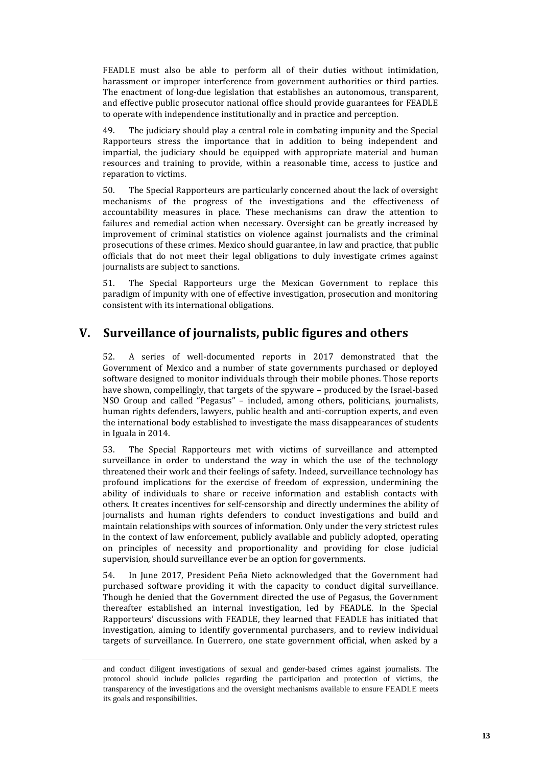FEADLE must also be able to perform all of their duties without intimidation, harassment or improper interference from government authorities or third parties. The enactment of long-due legislation that establishes an autonomous, transparent, and effective public prosecutor national office should provide guarantees for FEADLE to operate with independence institutionally and in practice and perception.

49. The judiciary should play a central role in combating impunity and the Special Rapporteurs stress the importance that in addition to being independent and impartial, the judiciary should be equipped with appropriate material and human resources and training to provide, within a reasonable time, access to justice and reparation to victims.

50. The Special Rapporteurs are particularly concerned about the lack of oversight mechanisms of the progress of the investigations and the effectiveness of accountability measures in place. These mechanisms can draw the attention to failures and remedial action when necessary. Oversight can be greatly increased by improvement of criminal statistics on violence against journalists and the criminal prosecutions of these crimes. Mexico should guarantee, in law and practice, that public officials that do not meet their legal obligations to duly investigate crimes against journalists are subject to sanctions.

51. The Special Rapporteurs urge the Mexican Government to replace this paradigm of impunity with one of effective investigation, prosecution and monitoring consistent with its international obligations.

# **V. Surveillance of journalists, public figures and others**

52. A series of well-documented reports in 2017 demonstrated that the Government of Mexico and a number of state governments purchased or deployed software designed to monitor individuals through their mobile phones. Those reports have shown, compellingly, that targets of the spyware – produced by the Israel-based NSO Group and called "Pegasus" – included, among others, politicians, journalists, human rights defenders, lawyers, public health and anti-corruption experts, and even the international body established to investigate the mass disappearances of students in Iguala in 2014.

53. The Special Rapporteurs met with victims of surveillance and attempted surveillance in order to understand the way in which the use of the technology threatened their work and their feelings of safety. Indeed, surveillance technology has profound implications for the exercise of freedom of expression, undermining the ability of individuals to share or receive information and establish contacts with others. It creates incentives for self-censorship and directly undermines the ability of journalists and human rights defenders to conduct investigations and build and maintain relationships with sources of information. Only under the very strictest rules in the context of law enforcement, publicly available and publicly adopted, operating on principles of necessity and proportionality and providing for close judicial supervision, should surveillance ever be an option for governments.

54. In June 2017, President Peña Nieto acknowledged that the Government had purchased software providing it with the capacity to conduct digital surveillance. Though he denied that the Government directed the use of Pegasus, the Government thereafter established an internal investigation, led by FEADLE. In the Special Rapporteurs' discussions with FEADLE, they learned that FEADLE has initiated that investigation, aiming to identify governmental purchasers, and to review individual targets of surveillance. In Guerrero, one state government official, when asked by a

and conduct diligent investigations of sexual and gender-based crimes against journalists. The protocol should include policies regarding the participation and protection of victims, the transparency of the investigations and the oversight mechanisms available to ensure FEADLE meets its goals and responsibilities.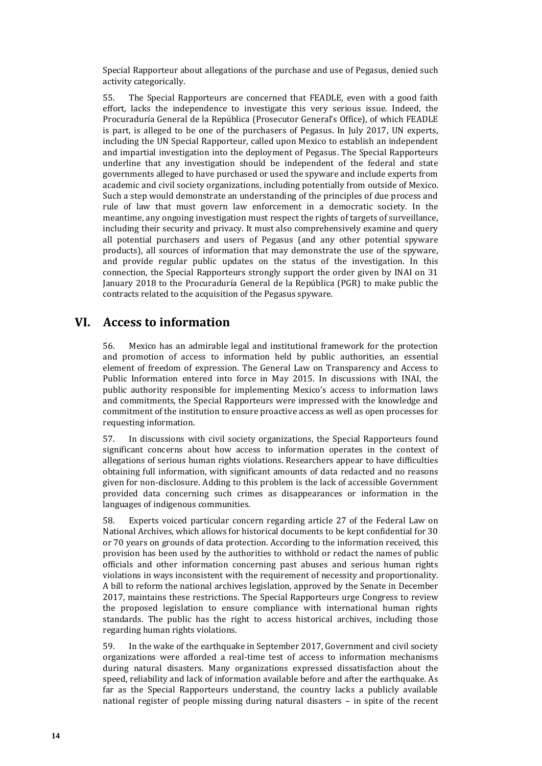Special Rapporteur about allegations of the purchase and use of Pegasus, denied such activity categorically.

55. The Special Rapporteurs are concerned that FEADLE, even with a good faith effort, lacks the independence to investigate this very serious issue. Indeed, the Procuraduría General de la República (Prosecutor General's Office), of which FEADLE is part, is alleged to be one of the purchasers of Pegasus. In July 2017, UN experts, including the UN Special Rapporteur, called upon Mexico to establish an independent and impartial investigation into the deployment of Pegasus. The Special Rapporteurs underline that any investigation should be independent of the federal and state governments alleged to have purchased or used the spyware and include experts from academic and civil society organizations, including potentially from outside of Mexico. Such a step would demonstrate an understanding of the principles of due process and rule of law that must govern law enforcement in a democratic society. In the meantime, any ongoing investigation must respect the rights of targets of surveillance, including their security and privacy. It must also comprehensively examine and query all potential purchasers and users of Pegasus (and any other potential spyware products), all sources of information that may demonstrate the use of the spyware, and provide regular public updates on the status of the investigation. In this connection, the Special Rapporteurs strongly support the order given by INAI on 31 January 2018 to the Procuraduría General de la República (PGR) to make public the contracts related to the acquisition of the Pegasus spyware.

### **VI. Access to information**

56. Mexico has an admirable legal and institutional framework for the protection and promotion of access to information held by public authorities, an essential element of freedom of expression. The General Law on Transparency and Access to Public Information entered into force in May 2015. In discussions with INAI, the public authority responsible for implementing Mexico's access to information laws and commitments, the Special Rapporteurs were impressed with the knowledge and commitment of the institution to ensure proactive access as well as open processes for requesting information.

57. In discussions with civil society organizations, the Special Rapporteurs found significant concerns about how access to information operates in the context of allegations of serious human rights violations. Researchers appear to have difficulties obtaining full information, with significant amounts of data redacted and no reasons given for non-disclosure. Adding to this problem is the lack of accessible Government provided data concerning such crimes as disappearances or information in the languages of indigenous communities.

58. Experts voiced particular concern regarding article 27 of the Federal Law on National Archives, which allows for historical documents to be kept confidential for 30 or 70 years on grounds of data protection. According to the information received, this provision has been used by the authorities to withhold or redact the names of public officials and other information concerning past abuses and serious human rights violations in ways inconsistent with the requirement of necessity and proportionality. A bill to reform the national archives legislation, approved by the Senate in December 2017, maintains these restrictions. The Special Rapporteurs urge Congress to review the proposed legislation to ensure compliance with international human rights standards. The public has the right to access historical archives, including those regarding human rights violations.

59. In the wake of the earthquake in September 2017, Government and civil society organizations were afforded a real-time test of access to information mechanisms during natural disasters. Many organizations expressed dissatisfaction about the speed, reliability and lack of information available before and after the earthquake. As far as the Special Rapporteurs understand, the country lacks a publicly available national register of people missing during natural disasters – in spite of the recent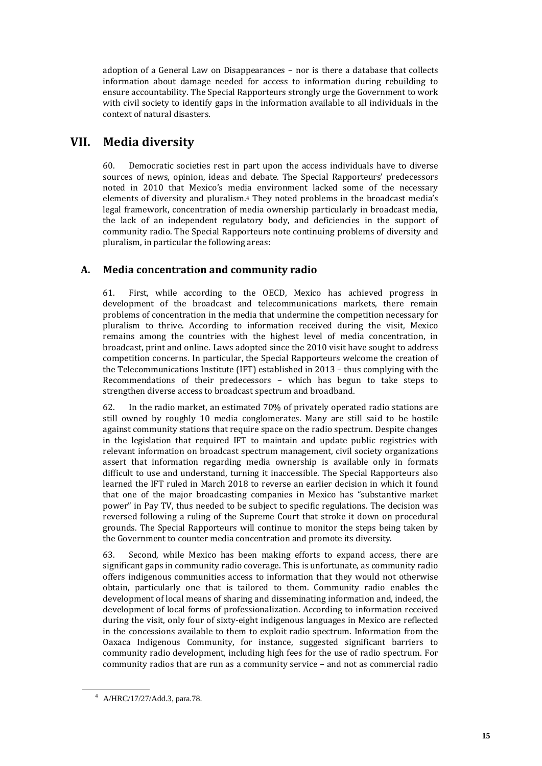adoption of a General Law on Disappearances – nor is there a database that collects information about damage needed for access to information during rebuilding to ensure accountability. The Special Rapporteurs strongly urge the Government to work with civil society to identify gaps in the information available to all individuals in the context of natural disasters.

# **VII. Media diversity**

60. Democratic societies rest in part upon the access individuals have to diverse sources of news, opinion, ideas and debate. The Special Rapporteurs' predecessors noted in 2010 that Mexico's media environment lacked some of the necessary elements of diversity and pluralism.<sup>4</sup> They noted problems in the broadcast media's legal framework, concentration of media ownership particularly in broadcast media, the lack of an independent regulatory body, and deficiencies in the support of community radio. The Special Rapporteurs note continuing problems of diversity and pluralism, in particular the following areas:

### **A. Media concentration and community radio**

61. First, while according to the OECD, Mexico has achieved progress in development of the broadcast and telecommunications markets, there remain problems of concentration in the media that undermine the competition necessary for pluralism to thrive. According to information received during the visit, Mexico remains among the countries with the highest level of media concentration, in broadcast, print and online. Laws adopted since the 2010 visit have sought to address competition concerns. In particular, the Special Rapporteurs welcome the creation of the Telecommunications Institute (IFT) established in 2013 – thus complying with the Recommendations of their predecessors – which has begun to take steps to strengthen diverse access to broadcast spectrum and broadband.

62. In the radio market, an estimated 70% of privately operated radio stations are still owned by roughly 10 media conglomerates. Many are still said to be hostile against community stations that require space on the radio spectrum. Despite changes in the legislation that required IFT to maintain and update public registries with relevant information on broadcast spectrum management, civil society organizations assert that information regarding media ownership is available only in formats difficult to use and understand, turning it inaccessible. The Special Rapporteurs also learned the IFT ruled in March 2018 to reverse an earlier decision in which it found that one of the major broadcasting companies in Mexico has "substantive market power" in Pay TV, thus needed to be subject to specific regulations. The decision was reversed following a ruling of the Supreme Court that stroke it down on procedural grounds. The Special Rapporteurs will continue to monitor the steps being taken by the Government to counter media concentration and promote its diversity.

63. Second, while Mexico has been making efforts to expand access, there are significant gaps in community radio coverage. This is unfortunate, as community radio offers indigenous communities access to information that they would not otherwise obtain, particularly one that is tailored to them. Community radio enables the development of local means of sharing and disseminating information and, indeed, the development of local forms of professionalization. According to information received during the visit, only four of sixty-eight indigenous languages in Mexico are reflected in the concessions available to them to exploit radio spectrum. Information from the Oaxaca Indigenous Community, for instance, suggested significant barriers to community radio development, including high fees for the use of radio spectrum. For community radios that are run as a community service – and not as commercial radio

<sup>4</sup> A/HRC/17/27/Add.3, para.78.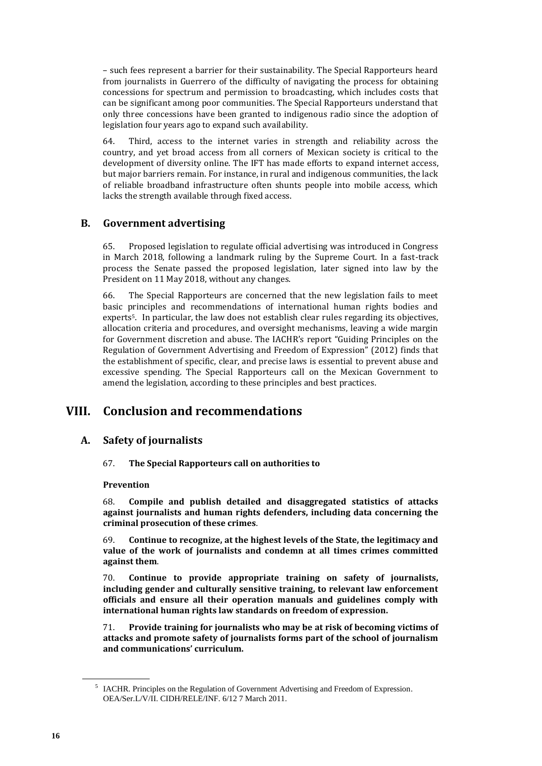– such fees represent a barrier for their sustainability. The Special Rapporteurs heard from journalists in Guerrero of the difficulty of navigating the process for obtaining concessions for spectrum and permission to broadcasting, which includes costs that can be significant among poor communities. The Special Rapporteurs understand that only three concessions have been granted to indigenous radio since the adoption of legislation four years ago to expand such availability.

64. Third, access to the internet varies in strength and reliability across the country, and yet broad access from all corners of Mexican society is critical to the development of diversity online. The IFT has made efforts to expand internet access, but major barriers remain. For instance, in rural and indigenous communities, the lack of reliable broadband infrastructure often shunts people into mobile access, which lacks the strength available through fixed access.

### **B. Government advertising**

65. Proposed legislation to regulate official advertising was introduced in Congress in March 2018, following a landmark ruling by the Supreme Court. In a fast-track process the Senate passed the proposed legislation, later signed into law by the President on 11 May 2018, without any changes.

66. The Special Rapporteurs are concerned that the new legislation fails to meet basic principles and recommendations of international human rights bodies and experts<sup>5</sup>. In particular, the law does not establish clear rules regarding its objectives, allocation criteria and procedures, and oversight mechanisms, leaving a wide margin for Government discretion and abuse. The IACHR's report "Guiding Principles on the Regulation of Government Advertising and Freedom of Expression" (2012) finds that the establishment of specific, clear, and precise laws is essential to prevent abuse and excessive spending. The Special Rapporteurs call on the Mexican Government to amend the legislation, according to these principles and best practices.

# **VIII. Conclusion and recommendations**

### **A. Safety of journalists**

67. **The Special Rapporteurs call on authorities to** 

### **Prevention**

68. **Compile and publish detailed and disaggregated statistics of attacks against journalists and human rights defenders, including data concerning the criminal prosecution of these crimes**.

69. **Continue to recognize, at the highest levels of the State, the legitimacy and value of the work of journalists and condemn at all times crimes committed against them**.

70. **Continue to provide appropriate training on safety of journalists, including gender and culturally sensitive training, to relevant law enforcement officials and ensure all their operation manuals and guidelines comply with international human rights law standards on freedom of expression.**

71. **Provide training for journalists who may be at risk of becoming victims of attacks and promote safety of journalists forms part of the school of journalism and communications' curriculum.**

<sup>&</sup>lt;sup>5</sup> IACHR. Principles on the Regulation of Government Advertising and Freedom of Expression. OEA/Ser.L/V/II. CIDH/RELE/INF. 6/12 7 March 2011.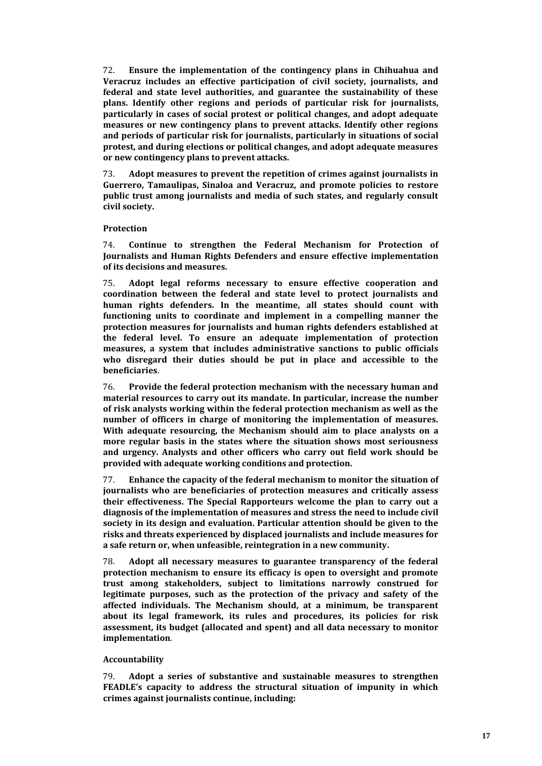72. **Ensure the implementation of the contingency plans in Chihuahua and Veracruz includes an effective participation of civil society, journalists, and federal and state level authorities, and guarantee the sustainability of these plans. Identify other regions and periods of particular risk for journalists, particularly in cases of social protest or political changes, and adopt adequate measures or new contingency plans to prevent attacks. Identify other regions and periods of particular risk for journalists, particularly in situations of social protest, and during elections or political changes, and adopt adequate measures or new contingency plans to prevent attacks.**

73. **Adopt measures to prevent the repetition of crimes against journalists in Guerrero, Tamaulipas, Sinaloa and Veracruz, and promote policies to restore public trust among journalists and media of such states, and regularly consult civil society.** 

#### **Protection**

74. **Continue to strengthen the Federal Mechanism for Protection of Journalists and Human Rights Defenders and ensure effective implementation of its decisions and measures.**

75. **Adopt legal reforms necessary to ensure effective cooperation and coordination between the federal and state level to protect journalists and human rights defenders. In the meantime, all states should count with functioning units to coordinate and implement in a compelling manner the protection measures for journalists and human rights defenders established at the federal level. To ensure an adequate implementation of protection measures, a system that includes administrative sanctions to public officials who disregard their duties should be put in place and accessible to the beneficiaries**.

76. **Provide the federal protection mechanism with the necessary human and material resources to carry out its mandate. In particular, increase the number of risk analysts working within the federal protection mechanism as well as the number of officers in charge of monitoring the implementation of measures. With adequate resourcing, the Mechanism should aim to place analysts on a more regular basis in the states where the situation shows most seriousness and urgency. Analysts and other officers who carry out field work should be provided with adequate working conditions and protection.**

77. **Enhance the capacity of the federal mechanism to monitor the situation of journalists who are beneficiaries of protection measures and critically assess their effectiveness. The Special Rapporteurs welcome the plan to carry out a diagnosis of the implementation of measures and stress the need to include civil society in its design and evaluation. Particular attention should be given to the risks and threats experienced by displaced journalists and include measures for a safe return or, when unfeasible, reintegration in a new community.**

78. **Adopt all necessary measures to guarantee transparency of the federal protection mechanism to ensure its efficacy is open to oversight and promote trust among stakeholders, subject to limitations narrowly construed for legitimate purposes, such as the protection of the privacy and safety of the affected individuals. The Mechanism should, at a minimum, be transparent about its legal framework, its rules and procedures, its policies for risk assessment, its budget (allocated and spent) and all data necessary to monitor implementation**.

### **Accountability**

79. **Adopt a series of substantive and sustainable measures to strengthen FEADLE's capacity to address the structural situation of impunity in which crimes against journalists continue, including:**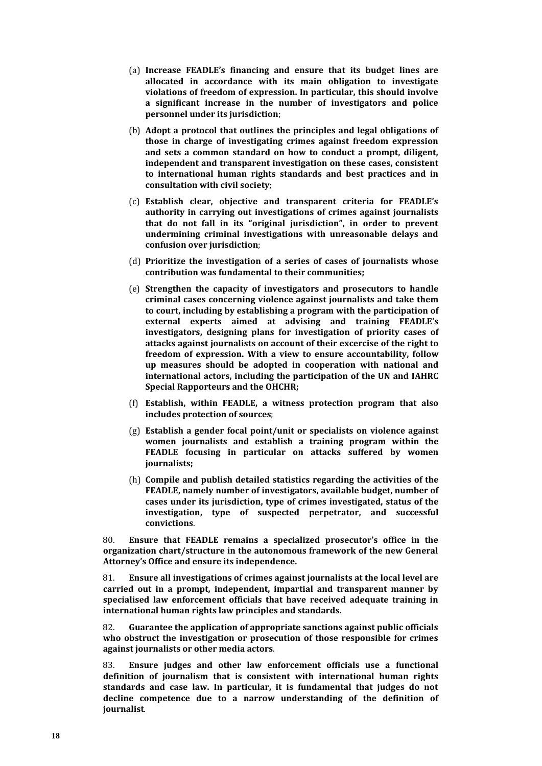- (a) **Increase FEADLE's financing and ensure that its budget lines are allocated in accordance with its main obligation to investigate violations of freedom of expression. In particular, this should involve a significant increase in the number of investigators and police personnel under its jurisdiction**;
- (b) **Adopt a protocol that outlines the principles and legal obligations of those in charge of investigating crimes against freedom expression and sets a common standard on how to conduct a prompt, diligent, independent and transparent investigation on these cases, consistent to international human rights standards and best practices and in consultation with civil society**;
- (c) **Establish clear, objective and transparent criteria for FEADLE's authority in carrying out investigations of crimes against journalists that do not fall in its "original jurisdiction", in order to prevent undermining criminal investigations with unreasonable delays and confusion over jurisdiction**;
- (d) **Prioritize the investigation of a series of cases of journalists whose contribution was fundamental to their communities;**
- (e) **Strengthen the capacity of investigators and prosecutors to handle criminal cases concerning violence against journalists and take them to court, including by establishing a program with the participation of external experts aimed at advising and training FEADLE's investigators, designing plans for investigation of priority cases of attacks against journalists on account of their excercise of the right to freedom of expression. With a view to ensure accountability, follow up measures should be adopted in cooperation with national and international actors, including the participation of the UN and IAHRC Special Rapporteurs and the OHCHR;**
- (f) **Establish, within FEADLE, a witness protection program that also includes protection of sources**;
- (g) **Establish a gender focal point/unit or specialists on violence against women journalists and establish a training program within the FEADLE focusing in particular on attacks suffered by women journalists;**
- (h) **Compile and publish detailed statistics regarding the activities of the FEADLE, namely number of investigators, available budget, number of cases under its jurisdiction, type of crimes investigated, status of the investigation, type of suspected perpetrator, and successful convictions**.

80. **Ensure that FEADLE remains a specialized prosecutor's office in the organization chart/structure in the autonomous framework of the new General Attorney's Office and ensure its independence.**

81. **Ensure all investigations of crimes against journalists at the local level are carried out in a prompt, independent, impartial and transparent manner by specialised law enforcement officials that have received adequate training in international human rights law principles and standards.**

82. **Guarantee the application of appropriate sanctions against public officials who obstruct the investigation or prosecution of those responsible for crimes against journalists or other media actors**.

83. **Ensure judges and other law enforcement officials use a functional definition of journalism that is consistent with international human rights standards and case law. In particular, it is fundamental that judges do not decline competence due to a narrow understanding of the definition of journalist**.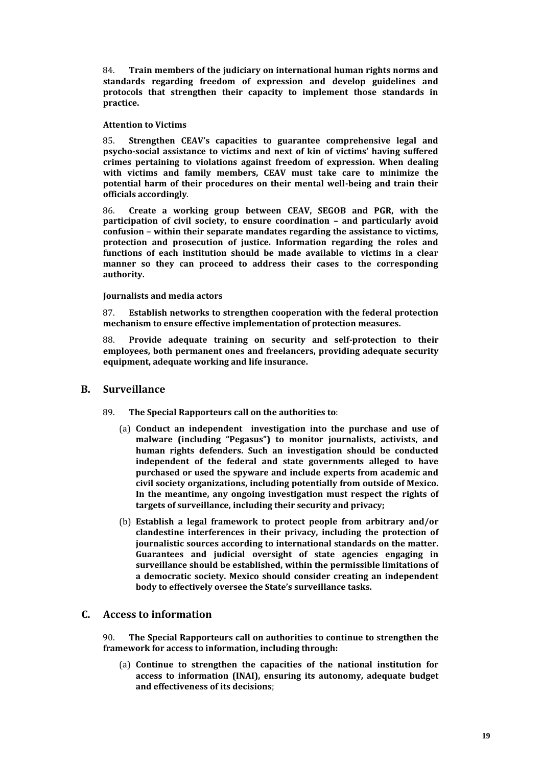84. **Train members of the judiciary on international human rights norms and standards regarding freedom of expression and develop guidelines and protocols that strengthen their capacity to implement those standards in practice.**

#### **Attention to Victims**

85. **Strengthen CEAV's capacities to guarantee comprehensive legal and psycho-social assistance to victims and next of kin of victims' having suffered crimes pertaining to violations against freedom of expression. When dealing with victims and family members, CEAV must take care to minimize the potential harm of their procedures on their mental well-being and train their officials accordingly**.

86. **Create a working group between CEAV, SEGOB and PGR, with the participation of civil society, to ensure coordination – and particularly avoid confusion – within their separate mandates regarding the assistance to victims, protection and prosecution of justice. Information regarding the roles and functions of each institution should be made available to victims in a clear manner so they can proceed to address their cases to the corresponding authority.**

#### **Journalists and media actors**

87. **Establish networks to strengthen cooperation with the federal protection mechanism to ensure effective implementation of protection measures.**

88. **Provide adequate training on security and self-protection to their employees, both permanent ones and freelancers, providing adequate security equipment, adequate working and life insurance.**

### **B. Surveillance**

- 89. **The Special Rapporteurs call on the authorities to**:
	- (a) **Conduct an independent investigation into the purchase and use of malware (including "Pegasus") to monitor journalists, activists, and human rights defenders. Such an investigation should be conducted independent of the federal and state governments alleged to have purchased or used the spyware and include experts from academic and civil society organizations, including potentially from outside of Mexico. In the meantime, any ongoing investigation must respect the rights of targets of surveillance, including their security and privacy;**
	- (b) **Establish a legal framework to protect people from arbitrary and/or clandestine interferences in their privacy, including the protection of journalistic sources according to international standards on the matter. Guarantees and judicial oversight of state agencies engaging in surveillance should be established, within the permissible limitations of a democratic society. Mexico should consider creating an independent body to effectively oversee the State's surveillance tasks.**

### **C. Access to information**

90. **The Special Rapporteurs call on authorities to continue to strengthen the framework for access to information, including through:**

(a) **Continue to strengthen the capacities of the national institution for access to information (INAI), ensuring its autonomy, adequate budget and effectiveness of its decisions**;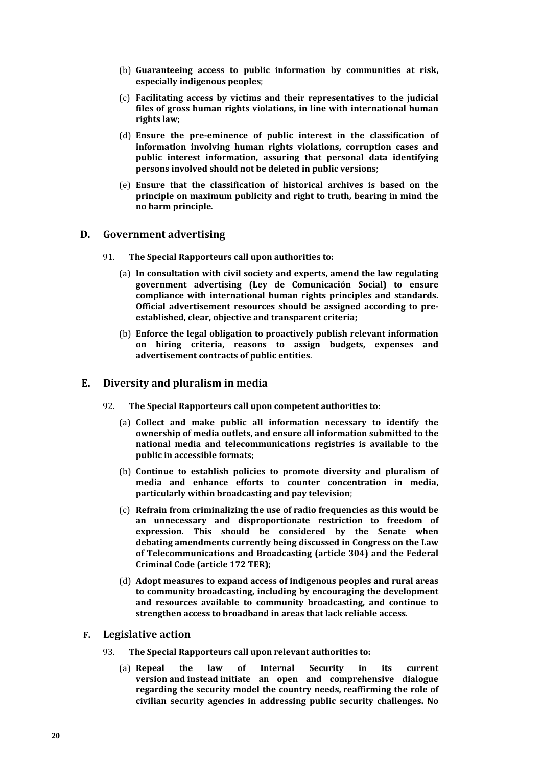- (b) **Guaranteeing access to public information by communities at risk, especially indigenous peoples**;
- (c) **Facilitating access by victims and their representatives to the judicial files of gross human rights violations, in line with international human rights law**;
- (d) **Ensure the pre-eminence of public interest in the classification of information involving human rights violations, corruption cases and public interest information, assuring that personal data identifying persons involved should not be deleted in public versions**;
- (e) **Ensure that the classification of historical archives is based on the principle on maximum publicity and right to truth, bearing in mind the no harm principle**.

### **D. Government advertising**

- 91. **The Special Rapporteurs call upon authorities to:**
	- (a) **In consultation with civil society and experts, amend the law regulating government advertising (Ley de Comunicación Social) to ensure compliance with international human rights principles and standards. Official advertisement resources should be assigned according to preestablished, clear, objective and transparent criteria;**
	- (b) **Enforce the legal obligation to proactively publish relevant information on hiring criteria, reasons to assign budgets, expenses and advertisement contracts of public entities**.

### **E. Diversity and pluralism in media**

- 92. **The Special Rapporteurs call upon competent authorities to:**
	- (a) **Collect and make public all information necessary to identify the ownership of media outlets, and ensure all information submitted to the national media and telecommunications registries is available to the public in accessible formats**;
	- (b) **Continue to establish policies to promote diversity and pluralism of media and enhance efforts to counter concentration in media, particularly within broadcasting and pay television**;
	- (c) **Refrain from criminalizing the use of radio frequencies as this would be an unnecessary and disproportionate restriction to freedom of expression. This should be considered by the Senate when debating amendments currently being discussed in Congress on the Law of Telecommunications and Broadcasting (article 304) and the Federal Criminal Code (article 172 TER)**;
	- (d) **Adopt measures to expand access of indigenous peoples and rural areas to community broadcasting, including by encouraging the development and resources available to community broadcasting, and continue to strengthen access to broadband in areas that lack reliable access**.

### **F. Legislative action**

- 93. **The Special Rapporteurs call upon relevant authorities to:**
	- (a) **Repeal the law of Internal Security in its current version and instead initiate an open and comprehensive dialogue regarding the security model the country needs, reaffirming the role of civilian security agencies in addressing public security challenges. No**